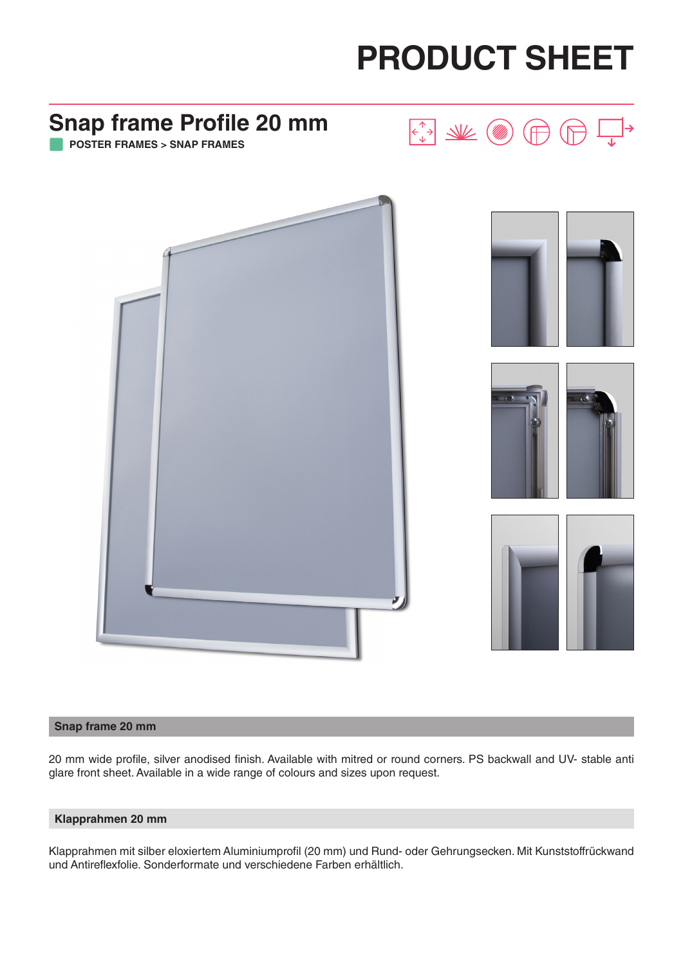

#### **Snap frame 20 mm**

20 mm wide profile, silver anodised finish. Available with mitred or round corners. PS backwall and UV- stable anti glare front sheet. Available in a wide range of colours and sizes upon request.

#### **Klapprahmen 20 mm**

Klapprahmen mit silber eloxiertem Aluminiumprofil (20 mm) und Rund- oder Gehrungsecken. Mit Kunststoffrückwand und Antireflexfolie. Sonderformate und verschiedene Farben erhältlich.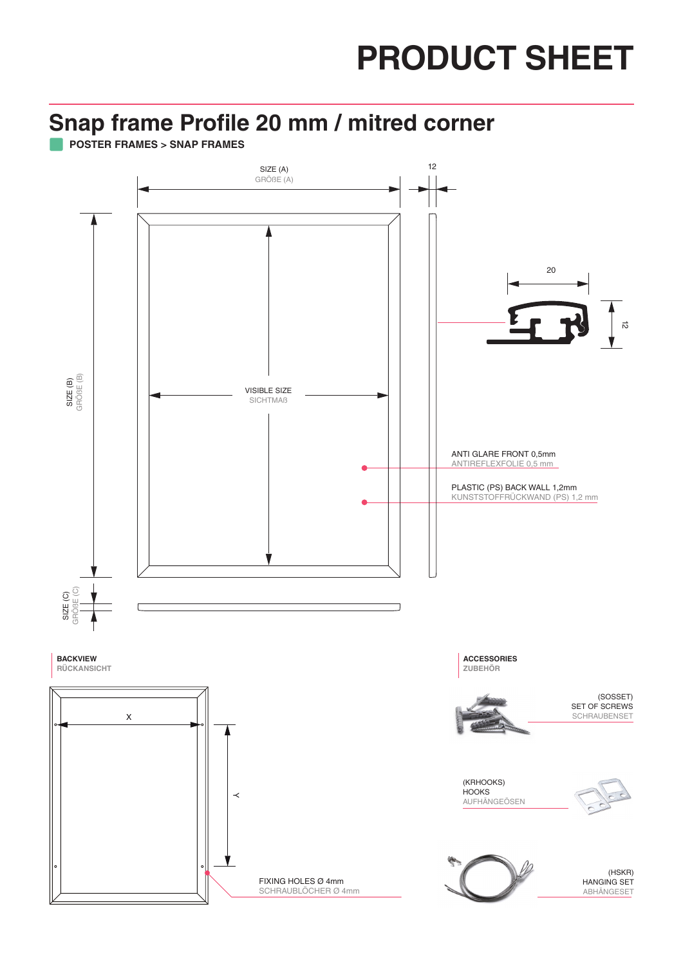### **Snap frame Profile 20 mm / mitred corner**

**POSTER FRAMES > SNAP FRAMES**

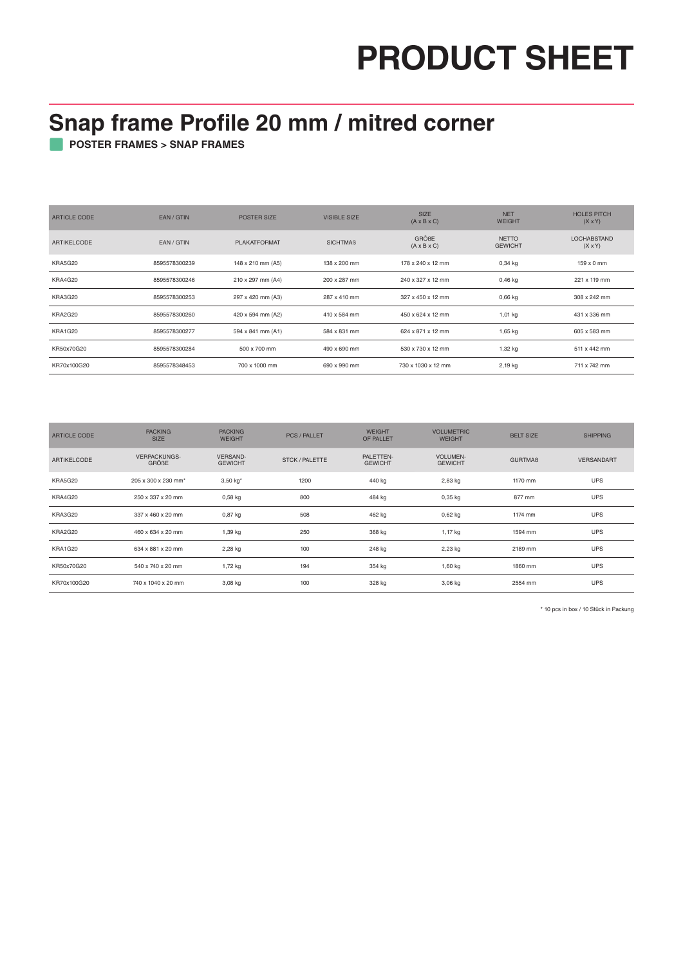### **Snap frame Profile 20 mm / mitred corner**

**POSTER FRAMES > SNAP FRAMES**

| ARTICLE CODE       | EAN / GTIN    | <b>POSTER SIZE</b>  | <b>VISIBLE SIZE</b> | <b>SIZE</b><br>$(A \times B \times C)$  | <b>NET</b><br><b>WEIGHT</b>    | <b>HOLES PITCH</b><br>$(X \times Y)$ |
|--------------------|---------------|---------------------|---------------------|-----------------------------------------|--------------------------------|--------------------------------------|
| <b>ARTIKELCODE</b> | EAN / GTIN    | <b>PLAKATFORMAT</b> | <b>SICHTMAB</b>     | <b>GRÖßE</b><br>$(A \times B \times C)$ | <b>NETTO</b><br><b>GEWICHT</b> | <b>LOCHABSTAND</b><br>$(X \times Y)$ |
| KRA5G20            | 8595578300239 | 148 x 210 mm (A5)   | 138 x 200 mm        | 178 x 240 x 12 mm                       | $0,34$ kg                      | $159 \times 0$ mm                    |
| KRA4G20            | 8595578300246 | 210 x 297 mm (A4)   | 200 x 287 mm        | 240 x 327 x 12 mm                       | $0,46$ kg                      | 221 x 119 mm                         |
| KRA3G20            | 8595578300253 | 297 x 420 mm (A3)   | 287 x 410 mm        | 327 x 450 x 12 mm                       | $0,66$ kg                      | 308 x 242 mm                         |
| KRA2G20            | 8595578300260 | 420 x 594 mm (A2)   | 410 x 584 mm        | 450 x 624 x 12 mm                       | 1,01 kg                        | 431 x 336 mm                         |
| KRA1G20            | 8595578300277 | 594 x 841 mm (A1)   | 584 x 831 mm        | 624 x 871 x 12 mm                       | 1,65 kg                        | 605 x 583 mm                         |
| KR50x70G20         | 8595578300284 | 500 x 700 mm        | 490 x 690 mm        | 530 x 730 x 12 mm                       | 1,32 kg                        | 511 x 442 mm                         |
| KR70x100G20        | 8595578348453 | 700 x 1000 mm       | 690 x 990 mm        | 730 x 1030 x 12 mm                      | 2,19 kg                        | 711 x 742 mm                         |

| <b>ARTICLE CODE</b> | <b>PACKING</b><br><b>SIZE</b>       | <b>PACKING</b><br><b>WEIGHT</b>   | <b>PCS / PALLET</b>   | <b>WEIGHT</b><br>OF PALLET  | <b>VOLUMETRIC</b><br><b>WEIGHT</b> | <b>BELT SIZE</b> | <b>SHIPPING</b>   |
|---------------------|-------------------------------------|-----------------------------------|-----------------------|-----------------------------|------------------------------------|------------------|-------------------|
| <b>ARTIKELCODE</b>  | <b>VERPACKUNGS-</b><br><b>GRÖßE</b> | <b>VERSAND-</b><br><b>GEWICHT</b> | <b>STCK / PALETTE</b> | PALETTEN-<br><b>GEWICHT</b> | <b>VOLUMEN-</b><br><b>GEWICHT</b>  | <b>GURTMAß</b>   | <b>VERSANDART</b> |
| KRA5G20             | 205 x 300 x 230 mm <sup>*</sup>     | 3,50 kg*                          | 1200                  | 440 kg                      | 2,83 kg                            | 1170 mm          | <b>UPS</b>        |
| KRA4G20             | 250 x 337 x 20 mm                   | $0,58$ kg                         | 800                   | 484 kg                      | 0,35 kg                            | 877 mm           | <b>UPS</b>        |
| KRA3G20             | 337 x 460 x 20 mm                   | 0,87 kg                           | 508                   | 462 kg                      | $0.62$ kg                          | 1174 mm          | <b>UPS</b>        |
| KRA2G20             | 460 x 634 x 20 mm                   | 1,39 kg                           | 250                   | 368 kg                      | 1,17 kg                            | 1594 mm          | <b>UPS</b>        |
| KRA1G20             | 634 x 881 x 20 mm                   | 2,28 kg                           | 100                   | 248 kg                      | 2,23 kg                            | 2189 mm          | <b>UPS</b>        |
| KR50x70G20          | 540 x 740 x 20 mm                   | 1,72 kg                           | 194                   | 354 kg                      | 1,60 kg                            | 1860 mm          | <b>UPS</b>        |
| KR70x100G20         | 740 x 1040 x 20 mm                  | 3,08 kg                           | 100                   | 328 kg                      | 3,06 kg                            | 2554 mm          | <b>UPS</b>        |

\* 10 pcs in box / 10 Stück in Packung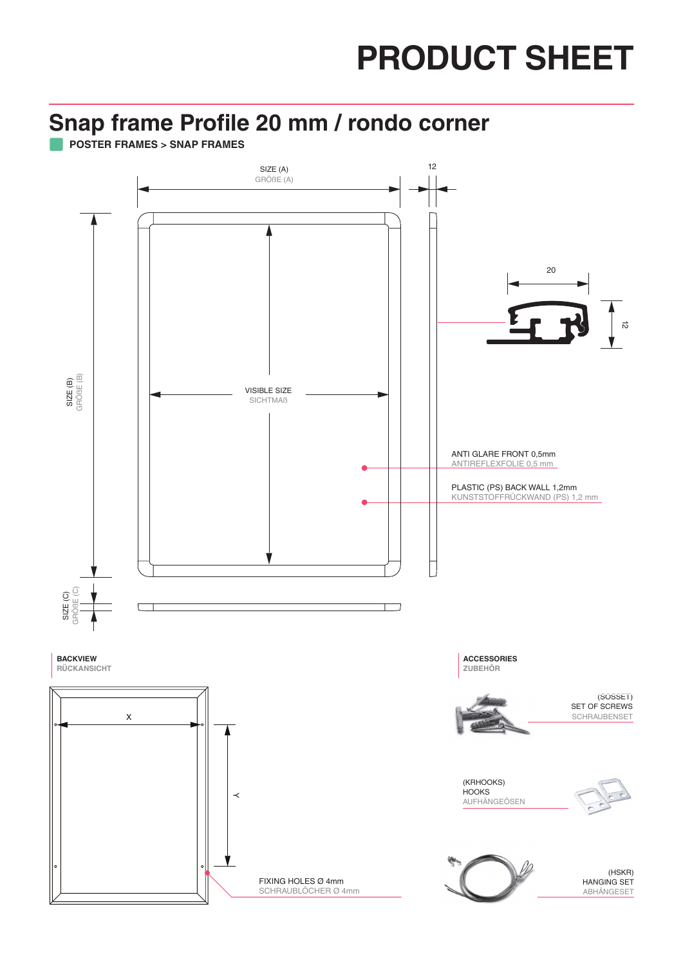### **Snap frame Profile 20 mm / rondo corner**

**POSTER FRAMES > SNAP FRAMES**